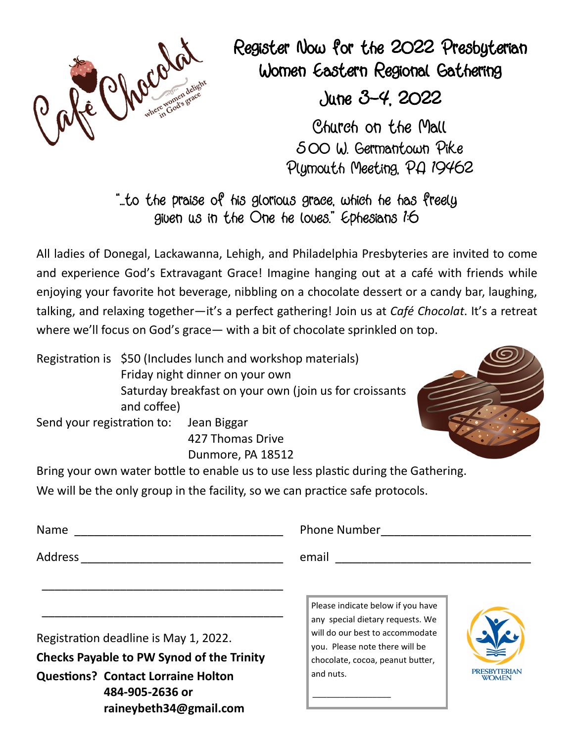

Register Now for the 2022 Presbyterian Women Eastern Regional Gathering

June 3-4, 2022

Church on the Mall 500 W. Germantown Pike Plymouth Meeting, PA 19462

"...to the praise of his glorious grace, which he has freely given us in the One he loves." Ephesians 1:6

All ladies of Donegal, Lackawanna, Lehigh, and Philadelphia Presbyteries are invited to come and experience God's Extravagant Grace! Imagine hanging out at a café with friends while enjoying your favorite hot beverage, nibbling on a chocolate dessert or a candy bar, laughing, talking, and relaxing together—it's a perfect gathering! Join us at *Café Chocolat*. It's a retreat where we'll focus on God's grace— with a bit of chocolate sprinkled on top.

Registration is \$50 (Includes lunch and workshop materials) Friday night dinner on your own Saturday breakfast on your own (join us for croissants and coffee)

Send your registration to: Jean Biggar

 427 Thomas Drive Dunmore, PA 18512

Bring your own water bottle to enable us to use less plastic during the Gathering.

We will be the only group in the facility, so we can practice safe protocols.

\_\_\_\_\_\_\_\_\_\_\_\_\_\_\_\_\_\_\_\_\_\_\_\_\_\_\_\_\_\_\_\_\_\_\_\_\_

\_\_\_\_\_\_\_\_\_\_\_\_\_\_\_\_\_\_\_\_\_\_\_\_\_\_\_\_\_\_\_\_\_\_\_\_\_

Address \_\_\_\_\_\_\_\_\_\_\_\_\_\_\_\_\_\_\_\_\_\_\_\_\_\_\_\_\_\_\_ email \_\_\_\_\_\_\_\_\_\_\_\_\_\_\_\_\_\_\_\_\_\_\_\_\_\_\_\_\_\_

Name \_\_\_\_\_\_\_\_\_\_\_\_\_\_\_\_\_\_\_\_\_\_\_\_\_\_\_\_\_\_\_\_ Phone Number \_\_\_\_\_\_\_\_\_\_\_\_\_\_\_\_\_\_\_\_\_\_\_

Registration deadline is May 1, 2022. **Checks Payable to PW Synod of the Trinity Questions? Contact Lorraine Holton 484-905-2636 or raineybeth34@gmail.com** 

Please indicate below if you have any special dietary requests. We will do our best to accommodate you. Please note there will be chocolate, cocoa, peanut butter, and nuts.

 $\frac{1}{2}$  ,  $\frac{1}{2}$  ,  $\frac{1}{2}$  ,  $\frac{1}{2}$  ,  $\frac{1}{2}$  ,  $\frac{1}{2}$  ,  $\frac{1}{2}$